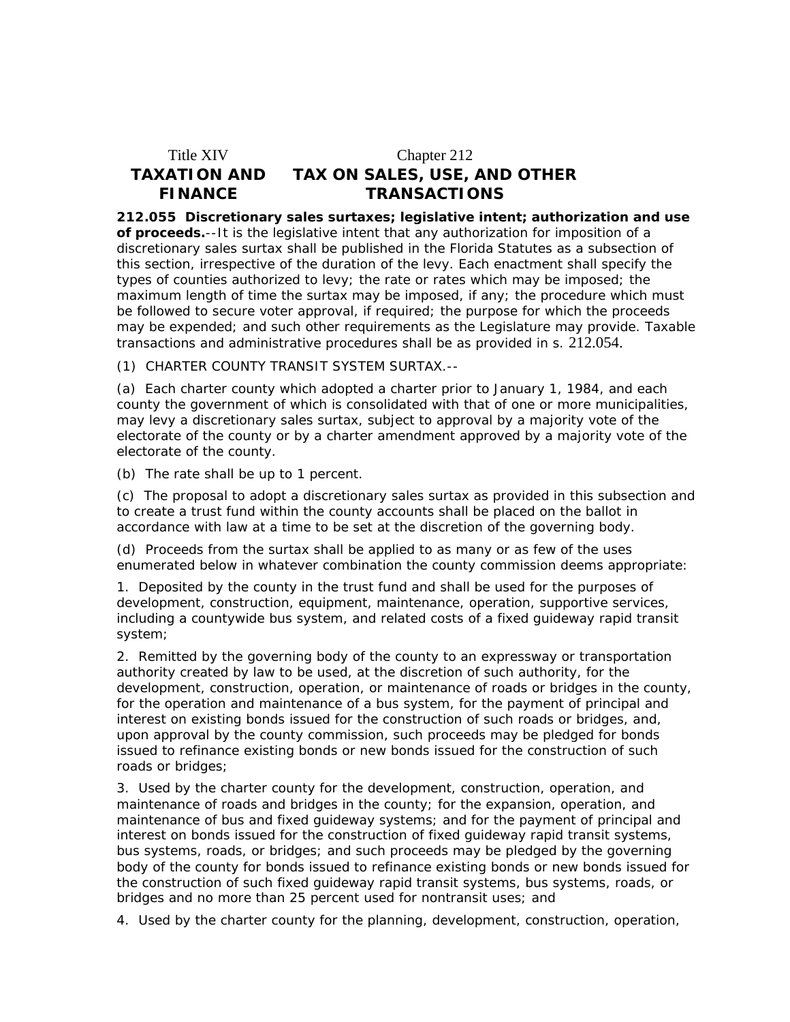## Title XIV **TAXATION AND FINANCE** Chapter 212 **TAX ON SALES, USE, AND OTHER TRANSACTIONS**

**212.055 Discretionary sales surtaxes; legislative intent; authorization and use of proceeds.**--It is the legislative intent that any authorization for imposition of a discretionary sales surtax shall be published in the Florida Statutes as a subsection of this section, irrespective of the duration of the levy. Each enactment shall specify the types of counties authorized to levy; the rate or rates which may be imposed; the maximum length of time the surtax may be imposed, if any; the procedure which must be followed to secure voter approval, if required; the purpose for which the proceeds may be expended; and such other requirements as the Legislature may provide. Taxable transactions and administrative procedures shall be as provided in s. 212.054.

(1) CHARTER COUNTY TRANSIT SYSTEM SURTAX.--

(a) Each charter county which adopted a charter prior to January 1, 1984, and each county the government of which is consolidated with that of one or more municipalities, may levy a discretionary sales surtax, subject to approval by a majority vote of the electorate of the county or by a charter amendment approved by a majority vote of the electorate of the county.

(b) The rate shall be up to 1 percent.

(c) The proposal to adopt a discretionary sales surtax as provided in this subsection and to create a trust fund within the county accounts shall be placed on the ballot in accordance with law at a time to be set at the discretion of the governing body.

(d) Proceeds from the surtax shall be applied to as many or as few of the uses enumerated below in whatever combination the county commission deems appropriate:

1. Deposited by the county in the trust fund and shall be used for the purposes of development, construction, equipment, maintenance, operation, supportive services, including a countywide bus system, and related costs of a fixed guideway rapid transit system;

2. Remitted by the governing body of the county to an expressway or transportation authority created by law to be used, at the discretion of such authority, for the development, construction, operation, or maintenance of roads or bridges in the county, for the operation and maintenance of a bus system, for the payment of principal and interest on existing bonds issued for the construction of such roads or bridges, and, upon approval by the county commission, such proceeds may be pledged for bonds issued to refinance existing bonds or new bonds issued for the construction of such roads or bridges;

3. Used by the charter county for the development, construction, operation, and maintenance of roads and bridges in the county; for the expansion, operation, and maintenance of bus and fixed guideway systems; and for the payment of principal and interest on bonds issued for the construction of fixed guideway rapid transit systems, bus systems, roads, or bridges; and such proceeds may be pledged by the governing body of the county for bonds issued to refinance existing bonds or new bonds issued for the construction of such fixed guideway rapid transit systems, bus systems, roads, or bridges and no more than 25 percent used for nontransit uses; and

4. Used by the charter county for the planning, development, construction, operation,